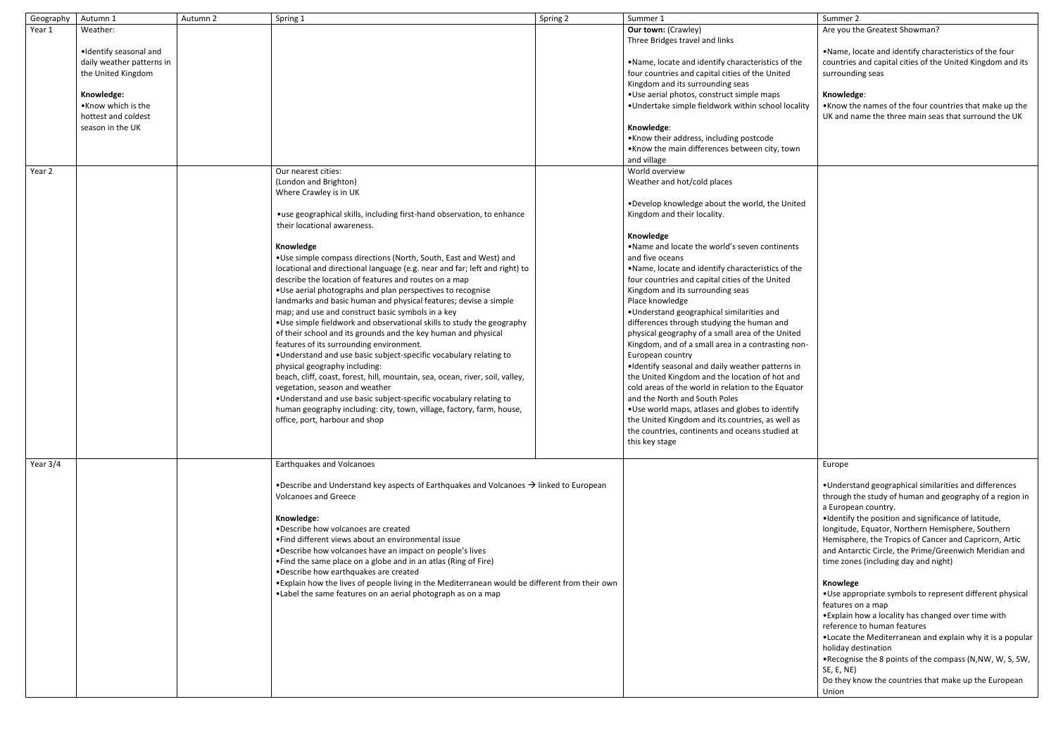| Geography | Autumn 1                                  | Autumn 2 | Spring 1                                                                                                                        | Spring 2 | Summer 1                                            | Summer 2                |
|-----------|-------------------------------------------|----------|---------------------------------------------------------------------------------------------------------------------------------|----------|-----------------------------------------------------|-------------------------|
| Year 1    | Weather:                                  |          |                                                                                                                                 |          | <b>Our town: (Crawley)</b>                          | Are you th              |
|           |                                           |          |                                                                                                                                 |          | Three Bridges travel and links                      |                         |
|           | ·Identify seasonal and                    |          |                                                                                                                                 |          |                                                     | ·Name, Ic               |
|           | daily weather patterns in                 |          |                                                                                                                                 |          | .Name, locate and identify characteristics of the   | countries               |
|           | the United Kingdom                        |          |                                                                                                                                 |          | four countries and capital cities of the United     | surroundi               |
|           |                                           |          |                                                                                                                                 |          | Kingdom and its surrounding seas                    |                         |
|           | Knowledge:                                |          |                                                                                                                                 |          | .Use aerial photos, construct simple maps           | Knowledg                |
|           | .Know which is the<br>hottest and coldest |          |                                                                                                                                 |          | .Undertake simple fieldwork within school locality  | •Know the<br>UK and na  |
|           | season in the UK                          |          |                                                                                                                                 |          | Knowledge:                                          |                         |
|           |                                           |          |                                                                                                                                 |          | .Know their address, including postcode             |                         |
|           |                                           |          |                                                                                                                                 |          | .Know the main differences between city, town       |                         |
|           |                                           |          |                                                                                                                                 |          | and village                                         |                         |
| Year 2    |                                           |          | Our nearest cities:                                                                                                             |          | World overview                                      |                         |
|           |                                           |          | (London and Brighton)                                                                                                           |          | Weather and hot/cold places                         |                         |
|           |                                           |          | Where Crawley is in UK                                                                                                          |          |                                                     |                         |
|           |                                           |          |                                                                                                                                 |          | . Develop knowledge about the world, the United     |                         |
|           |                                           |          | •use geographical skills, including first-hand observation, to enhance                                                          |          | Kingdom and their locality.                         |                         |
|           |                                           |          | their locational awareness.                                                                                                     |          |                                                     |                         |
|           |                                           |          |                                                                                                                                 |          | Knowledge                                           |                         |
|           |                                           |          | Knowledge                                                                                                                       |          | . Name and locate the world's seven continents      |                         |
|           |                                           |          | . Use simple compass directions (North, South, East and West) and                                                               |          | and five oceans                                     |                         |
|           |                                           |          | locational and directional language (e.g. near and far; left and right) to                                                      |          | .Name, locate and identify characteristics of the   |                         |
|           |                                           |          | describe the location of features and routes on a map                                                                           |          | four countries and capital cities of the United     |                         |
|           |                                           |          | . Use aerial photographs and plan perspectives to recognise<br>landmarks and basic human and physical features; devise a simple |          | Kingdom and its surrounding seas<br>Place knowledge |                         |
|           |                                           |          | map; and use and construct basic symbols in a key                                                                               |          | . Understand geographical similarities and          |                         |
|           |                                           |          | . Use simple fieldwork and observational skills to study the geography                                                          |          | differences through studying the human and          |                         |
|           |                                           |          | of their school and its grounds and the key human and physical                                                                  |          | physical geography of a small area of the United    |                         |
|           |                                           |          | features of its surrounding environment.                                                                                        |          | Kingdom, and of a small area in a contrasting non-  |                         |
|           |                                           |          | . Understand and use basic subject-specific vocabulary relating to                                                              |          | European country                                    |                         |
|           |                                           |          | physical geography including:                                                                                                   |          | . Identify seasonal and daily weather patterns in   |                         |
|           |                                           |          | beach, cliff, coast, forest, hill, mountain, sea, ocean, river, soil, valley,                                                   |          | the United Kingdom and the location of hot and      |                         |
|           |                                           |          | vegetation, season and weather                                                                                                  |          | cold areas of the world in relation to the Equator  |                         |
|           |                                           |          | . Understand and use basic subject-specific vocabulary relating to                                                              |          | and the North and South Poles                       |                         |
|           |                                           |          | human geography including: city, town, village, factory, farm, house,                                                           |          | •Use world maps, atlases and globes to identify     |                         |
|           |                                           |          | office, port, harbour and shop                                                                                                  |          | the United Kingdom and its countries, as well as    |                         |
|           |                                           |          |                                                                                                                                 |          | the countries, continents and oceans studied at     |                         |
|           |                                           |          |                                                                                                                                 |          | this key stage                                      |                         |
|           |                                           |          |                                                                                                                                 |          |                                                     |                         |
| Year 3/4  |                                           |          | Earthquakes and Volcanoes                                                                                                       |          |                                                     | Europe                  |
|           |                                           |          |                                                                                                                                 |          |                                                     |                         |
|           |                                           |          | •Describe and Understand key aspects of Earthquakes and Volcanoes $\rightarrow$ linked to European                              |          |                                                     | •Understa               |
|           |                                           |          | <b>Volcanoes and Greece</b>                                                                                                     |          |                                                     | through th<br>a Europea |
|           |                                           |          | Knowledge:                                                                                                                      |          |                                                     | ·Identify t             |
|           |                                           |          | •Describe how volcanoes are created                                                                                             |          |                                                     | longitude,              |
|           |                                           |          | • Find different views about an environmental issue                                                                             |          |                                                     | Hemisphe                |
|           |                                           |          | •Describe how volcanoes have an impact on people's lives                                                                        |          |                                                     | and Antar               |
|           |                                           |          | • Find the same place on a globe and in an atlas (Ring of Fire)                                                                 |          |                                                     | time zone               |
|           |                                           |          | •Describe how earthquakes are created                                                                                           |          |                                                     |                         |
|           |                                           |          | • Explain how the lives of people living in the Mediterranean would be different from their own                                 |          |                                                     | Knowlege                |
|           |                                           |          | .Label the same features on an aerial photograph as on a map                                                                    |          |                                                     | •Use appr               |
|           |                                           |          |                                                                                                                                 |          |                                                     | features o              |
|           |                                           |          |                                                                                                                                 |          |                                                     | •Explain h              |
|           |                                           |          |                                                                                                                                 |          |                                                     | reference               |
|           |                                           |          |                                                                                                                                 |          |                                                     | •Locate th              |
|           |                                           |          |                                                                                                                                 |          |                                                     | holiday de              |
|           |                                           |          |                                                                                                                                 |          |                                                     | •Recognis               |
|           |                                           |          |                                                                                                                                 |          |                                                     | SE, E, NE)              |
|           |                                           |          |                                                                                                                                 |          |                                                     | Do they kr              |
|           |                                           |          |                                                                                                                                 |          |                                                     | Union                   |

|              | Summer 2                                                                                                                                                                                                                                                                                                                                                                                                          |  |  |  |  |
|--------------|-------------------------------------------------------------------------------------------------------------------------------------------------------------------------------------------------------------------------------------------------------------------------------------------------------------------------------------------------------------------------------------------------------------------|--|--|--|--|
|              | Are you the Greatest Showman?                                                                                                                                                                                                                                                                                                                                                                                     |  |  |  |  |
| e            | . Name, locate and identify characteristics of the four<br>countries and capital cities of the United Kingdom and its<br>surrounding seas                                                                                                                                                                                                                                                                         |  |  |  |  |
| ılity        | Knowledge:<br>. Know the names of the four countries that make up the<br>UK and name the three main seas that surround the UK                                                                                                                                                                                                                                                                                     |  |  |  |  |
| ٦            |                                                                                                                                                                                                                                                                                                                                                                                                                   |  |  |  |  |
|              |                                                                                                                                                                                                                                                                                                                                                                                                                   |  |  |  |  |
| ed           |                                                                                                                                                                                                                                                                                                                                                                                                                   |  |  |  |  |
|              |                                                                                                                                                                                                                                                                                                                                                                                                                   |  |  |  |  |
|              |                                                                                                                                                                                                                                                                                                                                                                                                                   |  |  |  |  |
| e            |                                                                                                                                                                                                                                                                                                                                                                                                                   |  |  |  |  |
|              |                                                                                                                                                                                                                                                                                                                                                                                                                   |  |  |  |  |
|              |                                                                                                                                                                                                                                                                                                                                                                                                                   |  |  |  |  |
| d<br>on-     |                                                                                                                                                                                                                                                                                                                                                                                                                   |  |  |  |  |
|              |                                                                                                                                                                                                                                                                                                                                                                                                                   |  |  |  |  |
| n<br>I<br>эr |                                                                                                                                                                                                                                                                                                                                                                                                                   |  |  |  |  |
|              |                                                                                                                                                                                                                                                                                                                                                                                                                   |  |  |  |  |
| s            |                                                                                                                                                                                                                                                                                                                                                                                                                   |  |  |  |  |
|              |                                                                                                                                                                                                                                                                                                                                                                                                                   |  |  |  |  |
|              | Europe                                                                                                                                                                                                                                                                                                                                                                                                            |  |  |  |  |
|              | . Understand geographical similarities and differences<br>through the study of human and geography of a region in<br>a European country.<br>.Identify the position and significance of latitude,<br>longitude, Equator, Northern Hemisphere, Southern<br>Hemisphere, the Tropics of Cancer and Capricorn, Artic<br>and Antarctic Circle, the Prime/Greenwich Meridian and<br>time zones (including day and night) |  |  |  |  |
|              | Knowlege<br>•Use appropriate symbols to represent different physical<br>features on a map<br>• Explain how a locality has changed over time with<br>reference to human features<br>. Locate the Mediterranean and explain why it is a popular<br>holiday destination<br>. Recognise the 8 points of the compass (N, NW, W, S, SW,<br>SE, E, NE)<br>Do they know the countries that make up the European           |  |  |  |  |
|              | Union                                                                                                                                                                                                                                                                                                                                                                                                             |  |  |  |  |